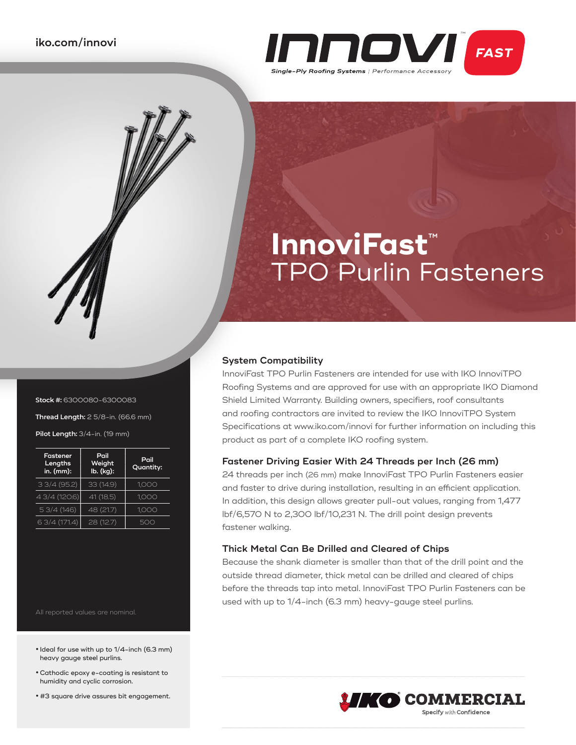

# **InnoviFast**™ TPO Purlin Fasteners

#### **System Compatibility**

InnoviFast TPO Purlin Fasteners are intended for use with IKO InnoviTPO Roofing Systems and are approved for use with an appropriate IKO Diamond Shield Limited Warranty. Building owners, specifiers, roof consultants and roofing contractors are invited to review the IKO InnoviTPO System Specifications at www.iko.com/innovi for further information on including this product as part of a complete IKO roofing system.

#### **Fastener Driving Easier With 24 Threads per Inch (26 mm)**

24 threads per inch (26 mm) make InnoviFast TPO Purlin Fasteners easier and faster to drive during installation, resulting in an efficient application. In addition, this design allows greater pull-out values, ranging from 1,477 lbf/6,570 N to 2,300 lbf/10,231 N. The drill point design prevents fastener walking.

### **Thick Metal Can Be Drilled and Cleared of Chips**

Because the shank diameter is smaller than that of the drill point and the outside thread diameter, thick metal can be drilled and cleared of chips before the threads tap into metal. InnoviFast TPO Purlin Fasteners can be used with up to 1/4-inch (6.3 mm) heavy-gauge steel purlins.



#### **Stock #:** 6300080-6300083

**Thread Length:** 2 5/8-in. (66.6 mm) **Pilot Length:** 3/4-in. (19 mm)

| <b>Fastener</b><br>Lengths<br>in. (mm): | Pail<br>Weight<br>lb. (kg): | Pail<br>Quantity: |
|-----------------------------------------|-----------------------------|-------------------|
| 33/4(95.2)                              | 33(14.9)                    | 1,000             |
| 4 3/4 (120.6)                           | 41 (18.5)                   | 1,000             |
| 53/4(146)                               | 48 (21.7)                   | 1,000             |
| 6 3/4 (171.4)                           | 28 (12.7)                   | 50C               |

All reported values are nominal.

- **•** Ideal for use with up to 1/4-inch (6.3 mm) heavy gauge steel purlins.
- **•**Cathodic epoxy e-coating is resistant to humidity and cyclic corrosion.
- **•** #3 square drive assures bit engagement.